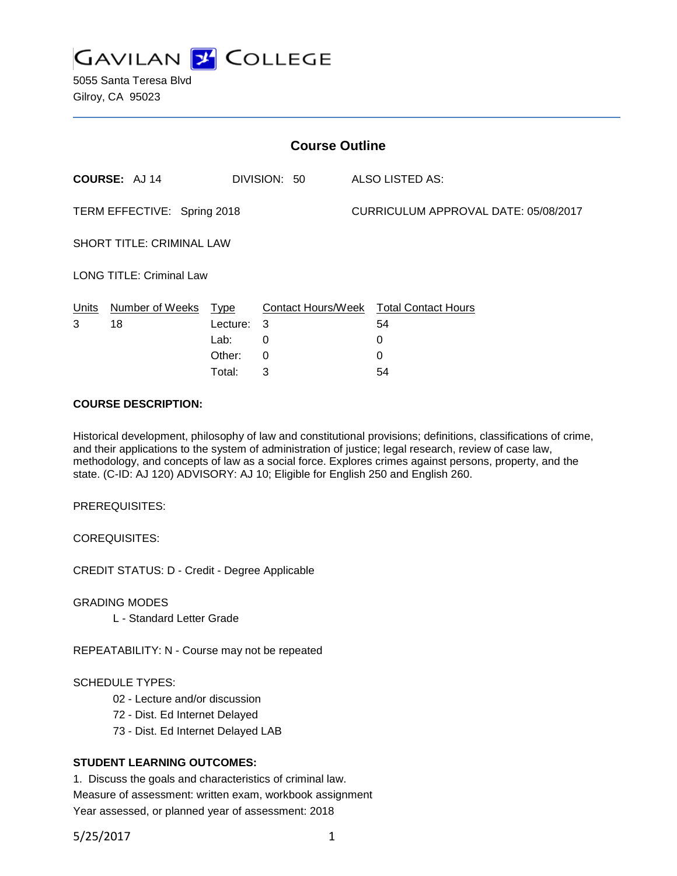

5055 Santa Teresa Blvd Gilroy, CA 95023

| <b>Course Outline</b>            |                      |             |              |  |                                        |
|----------------------------------|----------------------|-------------|--------------|--|----------------------------------------|
|                                  | <b>COURSE: AJ 14</b> |             | DIVISION: 50 |  | ALSO LISTED AS:                        |
| TERM EFFECTIVE: Spring 2018      |                      |             |              |  | CURRICULUM APPROVAL DATE: 05/08/2017   |
| <b>SHORT TITLE: CRIMINAL LAW</b> |                      |             |              |  |                                        |
| <b>LONG TITLE: Criminal Law</b>  |                      |             |              |  |                                        |
| Units                            | Number of Weeks      | <u>Type</u> |              |  | Contact Hours/Week Total Contact Hours |
| 3                                | 18                   | Lecture:    | 3            |  | 54                                     |
|                                  |                      | Lab:        | 0            |  | 0                                      |
|                                  |                      | Other:      | 0            |  | 0                                      |
|                                  |                      | Total:      | 3            |  | 54                                     |

### **COURSE DESCRIPTION:**

Historical development, philosophy of law and constitutional provisions; definitions, classifications of crime, and their applications to the system of administration of justice; legal research, review of case law, methodology, and concepts of law as a social force. Explores crimes against persons, property, and the state. (C-ID: AJ 120) ADVISORY: AJ 10; Eligible for English 250 and English 260.

PREREQUISITES:

COREQUISITES:

CREDIT STATUS: D - Credit - Degree Applicable

GRADING MODES

L - Standard Letter Grade

REPEATABILITY: N - Course may not be repeated

### SCHEDULE TYPES:

- 02 Lecture and/or discussion
- 72 Dist. Ed Internet Delayed
- 73 Dist. Ed Internet Delayed LAB

# **STUDENT LEARNING OUTCOMES:**

1. Discuss the goals and characteristics of criminal law. Measure of assessment: written exam, workbook assignment Year assessed, or planned year of assessment: 2018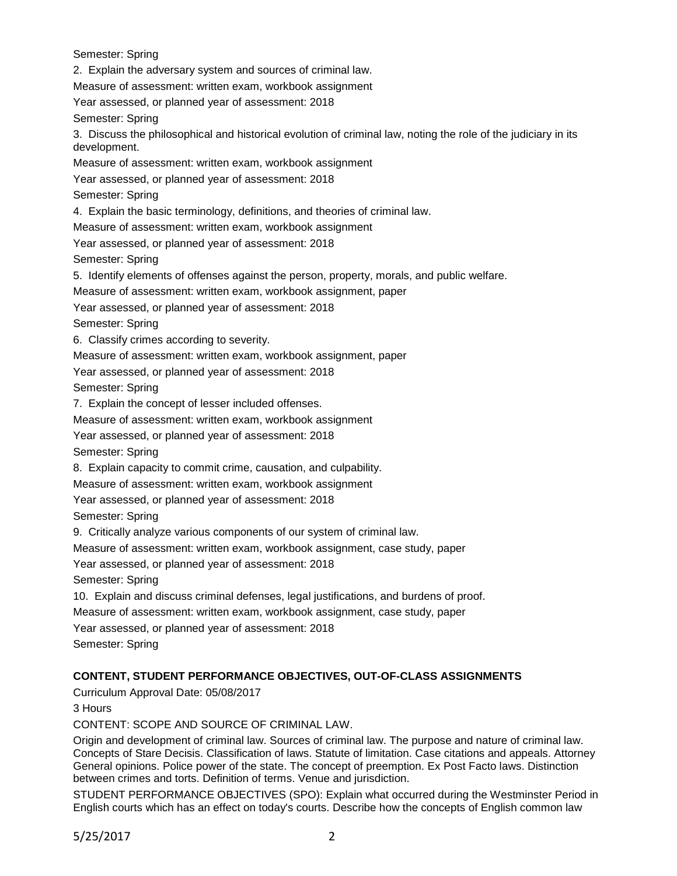Semester: Spring 2. Explain the adversary system and sources of criminal law. Measure of assessment: written exam, workbook assignment Year assessed, or planned year of assessment: 2018 Semester: Spring 3. Discuss the philosophical and historical evolution of criminal law, noting the role of the judiciary in its development. Measure of assessment: written exam, workbook assignment Year assessed, or planned year of assessment: 2018 Semester: Spring 4. Explain the basic terminology, definitions, and theories of criminal law. Measure of assessment: written exam, workbook assignment Year assessed, or planned year of assessment: 2018 Semester: Spring 5. Identify elements of offenses against the person, property, morals, and public welfare. Measure of assessment: written exam, workbook assignment, paper Year assessed, or planned year of assessment: 2018 Semester: Spring 6. Classify crimes according to severity. Measure of assessment: written exam, workbook assignment, paper Year assessed, or planned year of assessment: 2018 Semester: Spring 7. Explain the concept of lesser included offenses. Measure of assessment: written exam, workbook assignment Year assessed, or planned year of assessment: 2018 Semester: Spring 8. Explain capacity to commit crime, causation, and culpability. Measure of assessment: written exam, workbook assignment Year assessed, or planned year of assessment: 2018 Semester: Spring 9. Critically analyze various components of our system of criminal law. Measure of assessment: written exam, workbook assignment, case study, paper Year assessed, or planned year of assessment: 2018 Semester: Spring 10. Explain and discuss criminal defenses, legal justifications, and burdens of proof. Measure of assessment: written exam, workbook assignment, case study, paper Year assessed, or planned year of assessment: 2018 Semester: Spring

## **CONTENT, STUDENT PERFORMANCE OBJECTIVES, OUT-OF-CLASS ASSIGNMENTS**

Curriculum Approval Date: 05/08/2017

3 Hours

CONTENT: SCOPE AND SOURCE OF CRIMINAL LAW.

Origin and development of criminal law. Sources of criminal law. The purpose and nature of criminal law. Concepts of Stare Decisis. Classification of laws. Statute of limitation. Case citations and appeals. Attorney General opinions. Police power of the state. The concept of preemption. Ex Post Facto laws. Distinction between crimes and torts. Definition of terms. Venue and jurisdiction.

STUDENT PERFORMANCE OBJECTIVES (SPO): Explain what occurred during the Westminster Period in English courts which has an effect on today's courts. Describe how the concepts of English common law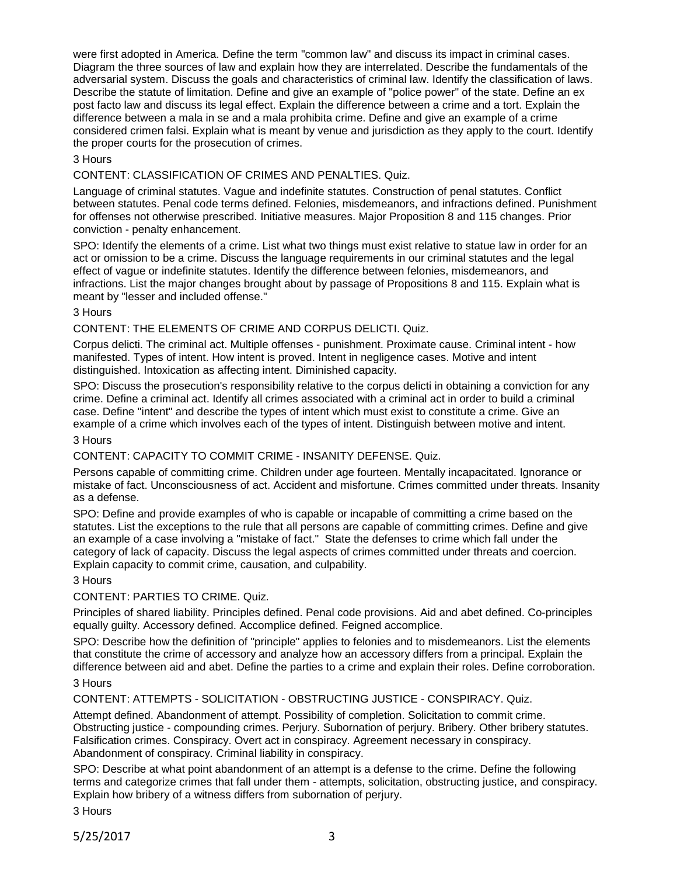were first adopted in America. Define the term "common law" and discuss its impact in criminal cases. Diagram the three sources of law and explain how they are interrelated. Describe the fundamentals of the adversarial system. Discuss the goals and characteristics of criminal law. Identify the classification of laws. Describe the statute of limitation. Define and give an example of "police power" of the state. Define an ex post facto law and discuss its legal effect. Explain the difference between a crime and a tort. Explain the difference between a mala in se and a mala prohibita crime. Define and give an example of a crime considered crimen falsi. Explain what is meant by venue and jurisdiction as they apply to the court. Identify the proper courts for the prosecution of crimes.

## 3 Hours

CONTENT: CLASSIFICATION OF CRIMES AND PENALTIES. Quiz.

Language of criminal statutes. Vague and indefinite statutes. Construction of penal statutes. Conflict between statutes. Penal code terms defined. Felonies, misdemeanors, and infractions defined. Punishment for offenses not otherwise prescribed. Initiative measures. Major Proposition 8 and 115 changes. Prior conviction - penalty enhancement.

SPO: Identify the elements of a crime. List what two things must exist relative to statue law in order for an act or omission to be a crime. Discuss the language requirements in our criminal statutes and the legal effect of vague or indefinite statutes. Identify the difference between felonies, misdemeanors, and infractions. List the major changes brought about by passage of Propositions 8 and 115. Explain what is meant by "lesser and included offense."

### 3 Hours

### CONTENT: THE ELEMENTS OF CRIME AND CORPUS DELICTI. Quiz.

Corpus delicti. The criminal act. Multiple offenses - punishment. Proximate cause. Criminal intent - how manifested. Types of intent. How intent is proved. Intent in negligence cases. Motive and intent distinguished. Intoxication as affecting intent. Diminished capacity.

SPO: Discuss the prosecution's responsibility relative to the corpus delicti in obtaining a conviction for any crime. Define a criminal act. Identify all crimes associated with a criminal act in order to build a criminal case. Define "intent" and describe the types of intent which must exist to constitute a crime. Give an example of a crime which involves each of the types of intent. Distinguish between motive and intent.

# 3 Hours

CONTENT: CAPACITY TO COMMIT CRIME - INSANITY DEFENSE. Quiz.

Persons capable of committing crime. Children under age fourteen. Mentally incapacitated. Ignorance or mistake of fact. Unconsciousness of act. Accident and misfortune. Crimes committed under threats. Insanity as a defense.

SPO: Define and provide examples of who is capable or incapable of committing a crime based on the statutes. List the exceptions to the rule that all persons are capable of committing crimes. Define and give an example of a case involving a "mistake of fact." State the defenses to crime which fall under the category of lack of capacity. Discuss the legal aspects of crimes committed under threats and coercion. Explain capacity to commit crime, causation, and culpability.

#### 3 Hours

CONTENT: PARTIES TO CRIME. Quiz.

Principles of shared liability. Principles defined. Penal code provisions. Aid and abet defined. Co-principles equally guilty. Accessory defined. Accomplice defined. Feigned accomplice.

SPO: Describe how the definition of "principle" applies to felonies and to misdemeanors. List the elements that constitute the crime of accessory and analyze how an accessory differs from a principal. Explain the difference between aid and abet. Define the parties to a crime and explain their roles. Define corroboration.

## 3 Hours

CONTENT: ATTEMPTS - SOLICITATION - OBSTRUCTING JUSTICE - CONSPIRACY. Quiz.

Attempt defined. Abandonment of attempt. Possibility of completion. Solicitation to commit crime. Obstructing justice - compounding crimes. Perjury. Subornation of perjury. Bribery. Other bribery statutes. Falsification crimes. Conspiracy. Overt act in conspiracy. Agreement necessary in conspiracy. Abandonment of conspiracy. Criminal liability in conspiracy.

SPO: Describe at what point abandonment of an attempt is a defense to the crime. Define the following terms and categorize crimes that fall under them - attempts, solicitation, obstructing justice, and conspiracy. Explain how bribery of a witness differs from subornation of perjury.

3 Hours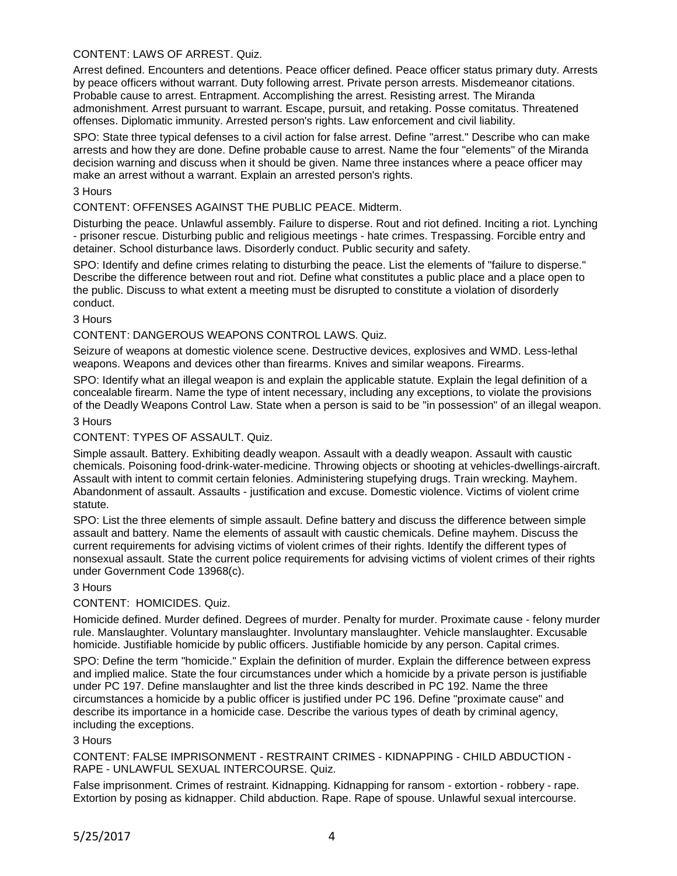# CONTENT: LAWS OF ARREST. Quiz.

Arrest defined. Encounters and detentions. Peace officer defined. Peace officer status primary duty. Arrests by peace officers without warrant. Duty following arrest. Private person arrests. Misdemeanor citations. Probable cause to arrest. Entrapment. Accomplishing the arrest. Resisting arrest. The Miranda admonishment. Arrest pursuant to warrant. Escape, pursuit, and retaking. Posse comitatus. Threatened offenses. Diplomatic immunity. Arrested person's rights. Law enforcement and civil liability.

SPO: State three typical defenses to a civil action for false arrest. Define "arrest." Describe who can make arrests and how they are done. Define probable cause to arrest. Name the four "elements" of the Miranda decision warning and discuss when it should be given. Name three instances where a peace officer may make an arrest without a warrant. Explain an arrested person's rights.

## 3 Hours

CONTENT: OFFENSES AGAINST THE PUBLIC PEACE. Midterm.

Disturbing the peace. Unlawful assembly. Failure to disperse. Rout and riot defined. Inciting a riot. Lynching - prisoner rescue. Disturbing public and religious meetings - hate crimes. Trespassing. Forcible entry and detainer. School disturbance laws. Disorderly conduct. Public security and safety.

SPO: Identify and define crimes relating to disturbing the peace. List the elements of "failure to disperse." Describe the difference between rout and riot. Define what constitutes a public place and a place open to the public. Discuss to what extent a meeting must be disrupted to constitute a violation of disorderly conduct.

### 3 Hours

### CONTENT: DANGEROUS WEAPONS CONTROL LAWS. Quiz.

Seizure of weapons at domestic violence scene. Destructive devices, explosives and WMD. Less-lethal weapons. Weapons and devices other than firearms. Knives and similar weapons. Firearms.

SPO: Identify what an illegal weapon is and explain the applicable statute. Explain the legal definition of a concealable firearm. Name the type of intent necessary, including any exceptions, to violate the provisions of the Deadly Weapons Control Law. State when a person is said to be "in possession" of an illegal weapon.

#### 3 Hours

## CONTENT: TYPES OF ASSAULT. Quiz.

Simple assault. Battery. Exhibiting deadly weapon. Assault with a deadly weapon. Assault with caustic chemicals. Poisoning food-drink-water-medicine. Throwing objects or shooting at vehicles-dwellings-aircraft. Assault with intent to commit certain felonies. Administering stupefying drugs. Train wrecking. Mayhem. Abandonment of assault. Assaults - justification and excuse. Domestic violence. Victims of violent crime statute.

SPO: List the three elements of simple assault. Define battery and discuss the difference between simple assault and battery. Name the elements of assault with caustic chemicals. Define mayhem. Discuss the current requirements for advising victims of violent crimes of their rights. Identify the different types of nonsexual assault. State the current police requirements for advising victims of violent crimes of their rights under Government Code 13968(c).

#### 3 Hours

## CONTENT: HOMICIDES. Quiz.

Homicide defined. Murder defined. Degrees of murder. Penalty for murder. Proximate cause - felony murder rule. Manslaughter. Voluntary manslaughter. Involuntary manslaughter. Vehicle manslaughter. Excusable homicide. Justifiable homicide by public officers. Justifiable homicide by any person. Capital crimes.

SPO: Define the term "homicide." Explain the definition of murder. Explain the difference between express and implied malice. State the four circumstances under which a homicide by a private person is justifiable under PC 197. Define manslaughter and list the three kinds described in PC 192. Name the three circumstances a homicide by a public officer is justified under PC 196. Define "proximate cause" and describe its importance in a homicide case. Describe the various types of death by criminal agency, including the exceptions.

#### 3 Hours

CONTENT: FALSE IMPRISONMENT - RESTRAINT CRIMES - KIDNAPPING - CHILD ABDUCTION - RAPE - UNLAWFUL SEXUAL INTERCOURSE. Quiz.

False imprisonment. Crimes of restraint. Kidnapping. Kidnapping for ransom - extortion - robbery - rape. Extortion by posing as kidnapper. Child abduction. Rape. Rape of spouse. Unlawful sexual intercourse.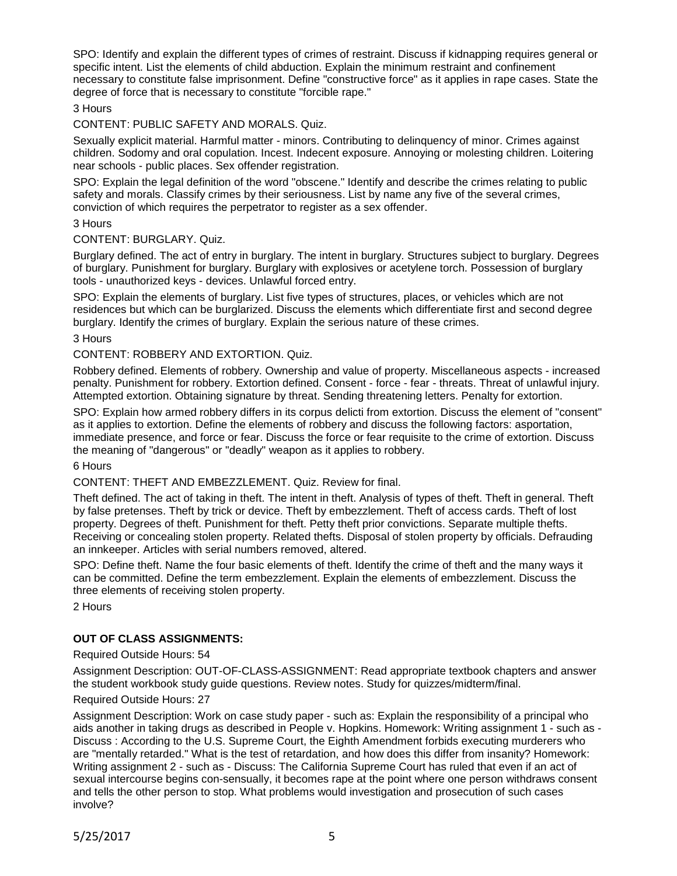SPO: Identify and explain the different types of crimes of restraint. Discuss if kidnapping requires general or specific intent. List the elements of child abduction. Explain the minimum restraint and confinement necessary to constitute false imprisonment. Define "constructive force" as it applies in rape cases. State the degree of force that is necessary to constitute "forcible rape."

## 3 Hours

## CONTENT: PUBLIC SAFETY AND MORALS. Quiz.

Sexually explicit material. Harmful matter - minors. Contributing to delinquency of minor. Crimes against children. Sodomy and oral copulation. Incest. Indecent exposure. Annoying or molesting children. Loitering near schools - public places. Sex offender registration.

SPO: Explain the legal definition of the word "obscene." Identify and describe the crimes relating to public safety and morals. Classify crimes by their seriousness. List by name any five of the several crimes, conviction of which requires the perpetrator to register as a sex offender.

#### 3 Hours

#### CONTENT: BURGLARY. Quiz.

Burglary defined. The act of entry in burglary. The intent in burglary. Structures subject to burglary. Degrees of burglary. Punishment for burglary. Burglary with explosives or acetylene torch. Possession of burglary tools - unauthorized keys - devices. Unlawful forced entry.

SPO: Explain the elements of burglary. List five types of structures, places, or vehicles which are not residences but which can be burglarized. Discuss the elements which differentiate first and second degree burglary. Identify the crimes of burglary. Explain the serious nature of these crimes.

3 Hours

### CONTENT: ROBBERY AND EXTORTION. Quiz.

Robbery defined. Elements of robbery. Ownership and value of property. Miscellaneous aspects - increased penalty. Punishment for robbery. Extortion defined. Consent - force - fear - threats. Threat of unlawful injury. Attempted extortion. Obtaining signature by threat. Sending threatening letters. Penalty for extortion.

SPO: Explain how armed robbery differs in its corpus delicti from extortion. Discuss the element of "consent" as it applies to extortion. Define the elements of robbery and discuss the following factors: asportation, immediate presence, and force or fear. Discuss the force or fear requisite to the crime of extortion. Discuss the meaning of "dangerous" or "deadly" weapon as it applies to robbery.

#### 6 Hours

CONTENT: THEFT AND EMBEZZLEMENT. Quiz. Review for final.

Theft defined. The act of taking in theft. The intent in theft. Analysis of types of theft. Theft in general. Theft by false pretenses. Theft by trick or device. Theft by embezzlement. Theft of access cards. Theft of lost property. Degrees of theft. Punishment for theft. Petty theft prior convictions. Separate multiple thefts. Receiving or concealing stolen property. Related thefts. Disposal of stolen property by officials. Defrauding an innkeeper. Articles with serial numbers removed, altered.

SPO: Define theft. Name the four basic elements of theft. Identify the crime of theft and the many ways it can be committed. Define the term embezzlement. Explain the elements of embezzlement. Discuss the three elements of receiving stolen property.

2 Hours

### **OUT OF CLASS ASSIGNMENTS:**

#### Required Outside Hours: 54

Assignment Description: OUT-OF-CLASS-ASSIGNMENT: Read appropriate textbook chapters and answer the student workbook study guide questions. Review notes. Study for quizzes/midterm/final.

#### Required Outside Hours: 27

Assignment Description: Work on case study paper - such as: Explain the responsibility of a principal who aids another in taking drugs as described in People v. Hopkins. Homework: Writing assignment 1 - such as - Discuss : According to the U.S. Supreme Court, the Eighth Amendment forbids executing murderers who are "mentally retarded." What is the test of retardation, and how does this differ from insanity? Homework: Writing assignment 2 - such as - Discuss: The California Supreme Court has ruled that even if an act of sexual intercourse begins con-sensually, it becomes rape at the point where one person withdraws consent and tells the other person to stop. What problems would investigation and prosecution of such cases involve?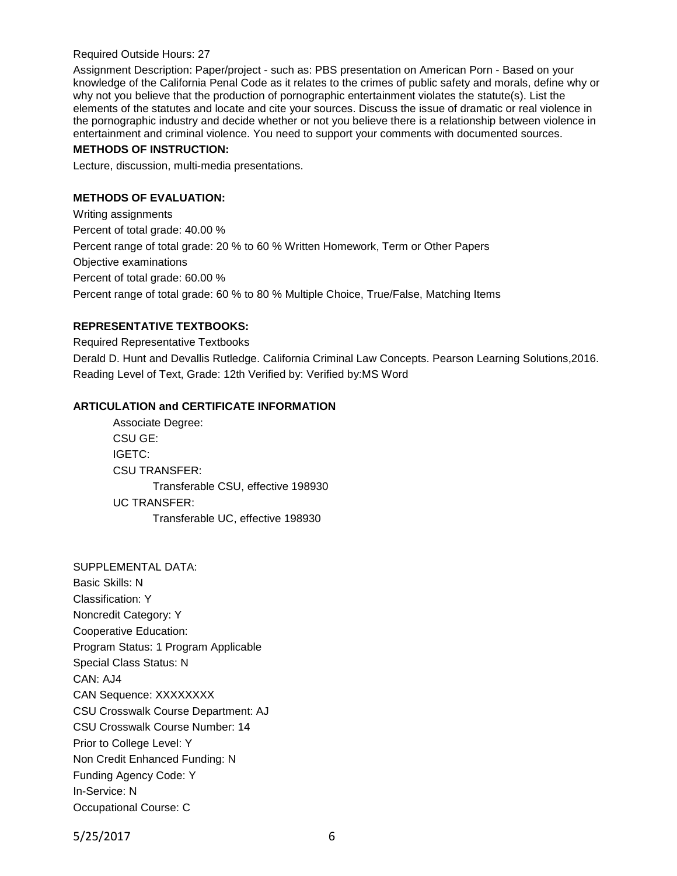### Required Outside Hours: 27

Assignment Description: Paper/project - such as: PBS presentation on American Porn - Based on your knowledge of the California Penal Code as it relates to the crimes of public safety and morals, define why or why not you believe that the production of pornographic entertainment violates the statute(s). List the elements of the statutes and locate and cite your sources. Discuss the issue of dramatic or real violence in the pornographic industry and decide whether or not you believe there is a relationship between violence in entertainment and criminal violence. You need to support your comments with documented sources.

## **METHODS OF INSTRUCTION:**

Lecture, discussion, multi-media presentations.

# **METHODS OF EVALUATION:**

Writing assignments Percent of total grade: 40.00 % Percent range of total grade: 20 % to 60 % Written Homework, Term or Other Papers Objective examinations Percent of total grade: 60.00 % Percent range of total grade: 60 % to 80 % Multiple Choice, True/False, Matching Items

## **REPRESENTATIVE TEXTBOOKS:**

Required Representative Textbooks

Derald D. Hunt and Devallis Rutledge. California Criminal Law Concepts. Pearson Learning Solutions,2016. Reading Level of Text, Grade: 12th Verified by: Verified by:MS Word

## **ARTICULATION and CERTIFICATE INFORMATION**

Associate Degree: CSU GE: IGETC: CSU TRANSFER: Transferable CSU, effective 198930 UC TRANSFER: Transferable UC, effective 198930

SUPPLEMENTAL DATA: Basic Skills: N Classification: Y Noncredit Category: Y Cooperative Education: Program Status: 1 Program Applicable Special Class Status: N CAN: AJ4 CAN Sequence: XXXXXXXX CSU Crosswalk Course Department: AJ CSU Crosswalk Course Number: 14 Prior to College Level: Y Non Credit Enhanced Funding: N Funding Agency Code: Y In-Service: N Occupational Course: C

5/25/2017 6